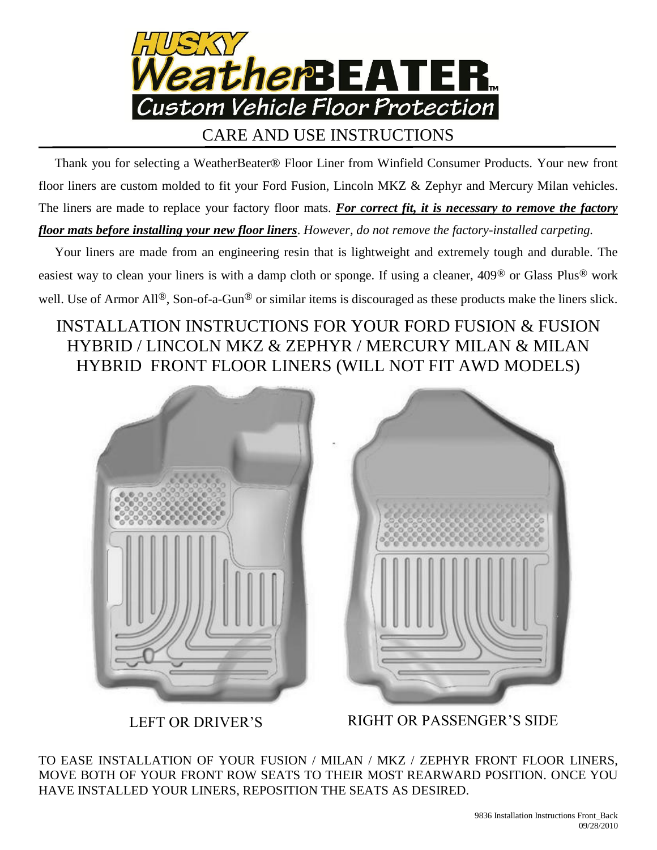

## CARE AND USE INSTRUCTIONS

 Thank you for selecting a WeatherBeater® Floor Liner from Winfield Consumer Products. Your new front floor liners are custom molded to fit your Ford Fusion, Lincoln MKZ & Zephyr and Mercury Milan vehicles. The liners are made to replace your factory floor mats. *For correct fit, it is necessary to remove the factory floor mats before installing your new floor liners*. *However, do not remove the factory-installed carpeting.*

 Your liners are made from an engineering resin that is lightweight and extremely tough and durable. The easiest way to clean your liners is with a damp cloth or sponge. If using a cleaner, 409® or Glass Plus® work well. Use of Armor All<sup>®</sup>, Son-of-a-Gun<sup>®</sup> or similar items is discouraged as these products make the liners slick.

## INSTALLATION INSTRUCTIONS FOR YOUR FORD FUSION & FUSION HYBRID / LINCOLN MKZ & ZEPHYR / MERCURY MILAN & MILAN HYBRID FRONT FLOOR LINERS (WILL NOT FIT AWD MODELS)



LEFT OR DRIVER'S

RIGHT OR PASSENGER'S SIDE

TO EASE INSTALLATION OF YOUR FUSION / MILAN / MKZ / ZEPHYR FRONT FLOOR LINERS, MOVE BOTH OF YOUR FRONT ROW SEATS TO THEIR MOST REARWARD POSITION. ONCE YOU HAVE INSTALLED YOUR LINERS, REPOSITION THE SEATS AS DESIRED.